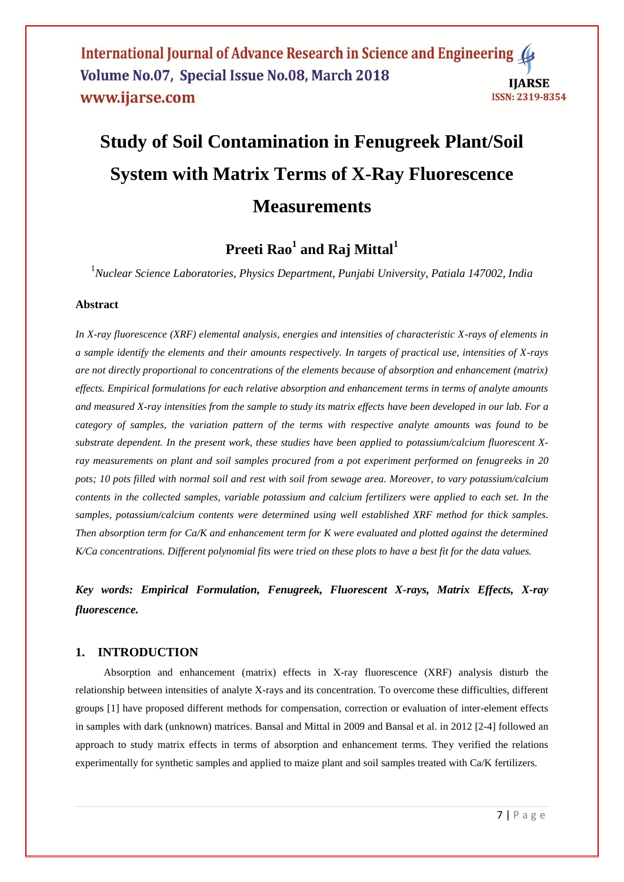International Journal of Advance Research in Science and Engineering Volume No.07, Special Issue No.08, March 2018 **IJARSE** www.ijarse.com ISSN: 2319-8354

# **Study of Soil Contamination in Fenugreek Plant/Soil System with Matrix Terms of X-Ray Fluorescence Measurements**

## **Preeti Rao<sup>1</sup> and Raj Mittal<sup>1</sup>**

<sup>1</sup>*Nuclear Science Laboratories, Physics Department, Punjabi University, Patiala 147002, India*

### **Abstract**

*In X-ray fluorescence (XRF) elemental analysis, energies and intensities of characteristic X-rays of elements in a sample identify the elements and their amounts respectively. In targets of practical use, intensities of X-rays are not directly proportional to concentrations of the elements because of absorption and enhancement (matrix) effects. Empirical formulations for each relative absorption and enhancement terms in terms of analyte amounts and measured X-ray intensities from the sample to study its matrix effects have been developed in our lab. For a category of samples, the variation pattern of the terms with respective analyte amounts was found to be substrate dependent. In the present work, these studies have been applied to potassium/calcium fluorescent Xray measurements on plant and soil samples procured from a pot experiment performed on fenugreeks in 20 pots; 10 pots filled with normal soil and rest with soil from sewage area. Moreover, to vary potassium/calcium contents in the collected samples, variable potassium and calcium fertilizers were applied to each set. In the samples, potassium/calcium contents were determined using well established XRF method for thick samples. Then absorption term for Ca/K and enhancement term for K were evaluated and plotted against the determined K/Ca concentrations. Different polynomial fits were tried on these plots to have a best fit for the data values.* 

*Key words: Empirical Formulation, Fenugreek, Fluorescent X-rays, Matrix Effects, X-ray fluorescence.*

### **1. INTRODUCTION**

Absorption and enhancement (matrix) effects in X-ray fluorescence (XRF) analysis disturb the relationship between intensities of analyte X-rays and its concentration. To overcome these difficulties, different groups [1] have proposed different methods for compensation, correction or evaluation of inter-element effects in samples with dark (unknown) matrices. Bansal and Mittal in 2009 and Bansal et al. in 2012 [2-4] followed an approach to study matrix effects in terms of absorption and enhancement terms. They verified the relations experimentally for synthetic samples and applied to maize plant and soil samples treated with Ca/K fertilizers.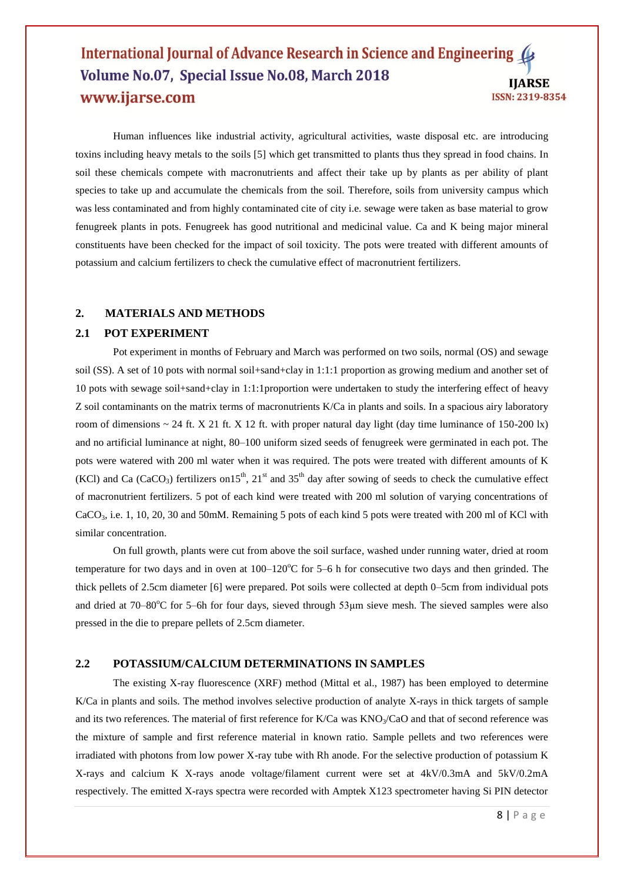### International Journal of Advance Research in Science and Engineering Volume No.07, Special Issue No.08, March 2018 **IJARSE** www.ijarse.com ISSN: 2319-8354

Human influences like industrial activity, agricultural activities, waste disposal etc. are introducing toxins including heavy metals to the soils [5] which get transmitted to plants thus they spread in food chains. In soil these chemicals compete with macronutrients and affect their take up by plants as per ability of plant species to take up and accumulate the chemicals from the soil. Therefore, soils from university campus which was less contaminated and from highly contaminated cite of city i.e. sewage were taken as base material to grow fenugreek plants in pots. Fenugreek has good nutritional and medicinal value. Ca and K being major mineral constituents have been checked for the impact of soil toxicity. The pots were treated with different amounts of potassium and calcium fertilizers to check the cumulative effect of macronutrient fertilizers.

### **2. MATERIALS AND METHODS**

#### **2.1 POT EXPERIMENT**

Pot experiment in months of February and March was performed on two soils, normal (OS) and sewage soil (SS). A set of 10 pots with normal soil+sand+clay in 1:1:1 proportion as growing medium and another set of 10 pots with sewage soil+sand+clay in 1:1:1proportion were undertaken to study the interfering effect of heavy Z soil contaminants on the matrix terms of macronutrients K/Ca in plants and soils. In a spacious airy laboratory room of dimensions  $\sim 24$  ft. X 21 ft. X 12 ft. with proper natural day light (day time luminance of 150-200 lx) and no artificial luminance at night, 80–100 uniform sized seeds of fenugreek were germinated in each pot. The pots were watered with 200 ml water when it was required. The pots were treated with different amounts of K (KCl) and Ca (CaCO<sub>3</sub>) fertilizers on15<sup>th</sup>, 21<sup>st</sup> and 35<sup>th</sup> day after sowing of seeds to check the cumulative effect of macronutrient fertilizers. 5 pot of each kind were treated with 200 ml solution of varying concentrations of CaCO<sub>3</sub>, i.e. 1, 10, 20, 30 and 50mM. Remaining 5 pots of each kind 5 pots were treated with 200 ml of KCl with similar concentration.

On full growth, plants were cut from above the soil surface, washed under running water, dried at room temperature for two days and in oven at  $100-120^{\circ}$ C for 5–6 h for consecutive two days and then grinded. The thick pellets of 2.5cm diameter [6] were prepared. Pot soils were collected at depth 0–5cm from individual pots and dried at  $70-80^{\circ}$ C for 5–6h for four days, sieved through 53 $\mu$ m sieve mesh. The sieved samples were also pressed in the die to prepare pellets of 2.5cm diameter.

### **2.2 POTASSIUM/CALCIUM DETERMINATIONS IN SAMPLES**

The existing X-ray fluorescence (XRF) method (Mittal et al., 1987) has been employed to determine K/Ca in plants and soils. The method involves selective production of analyte X-rays in thick targets of sample and its two references. The material of first reference for K/Ca was KNO<sub>3</sub>/CaO and that of second reference was the mixture of sample and first reference material in known ratio. Sample pellets and two references were irradiated with photons from low power X-ray tube with Rh anode. For the selective production of potassium K X-rays and calcium K X-rays anode voltage/filament current were set at 4kV/0.3mA and 5kV/0.2mA respectively. The emitted X-rays spectra were recorded with Amptek X123 spectrometer having Si PIN detector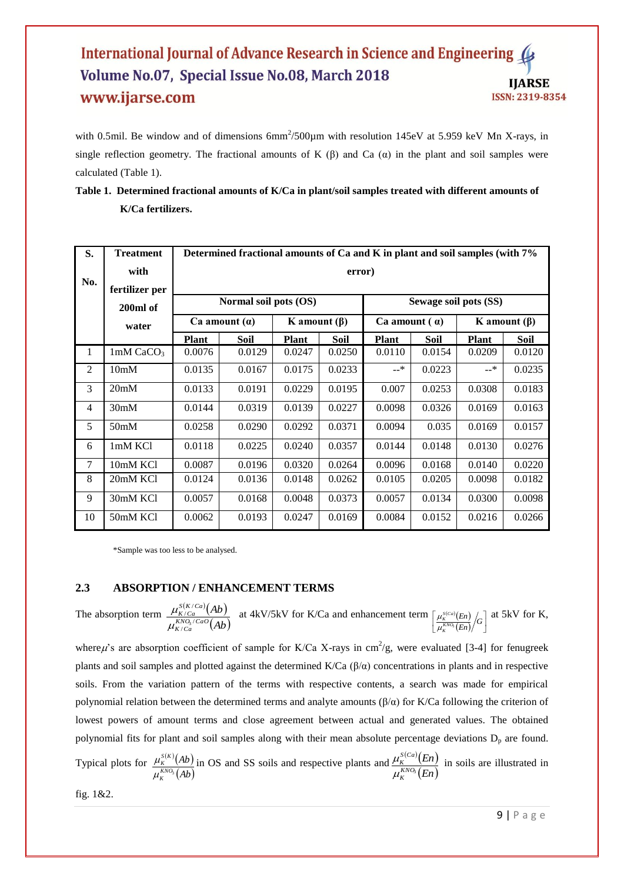### International Journal of Advance Research in Science and Engineering Volume No.07, Special Issue No.08, March 2018 **IJARSE** www.ijarse.com ISSN: 2319-8354

with 0.5mil. Be window and of dimensions  $6mm^2/500\mu m$  with resolution 145eV at 5.959 keV Mn X-rays, in single reflection geometry. The fractional amounts of K  $(\beta)$  and Ca  $(\alpha)$  in the plant and soil samples were calculated (Table 1).

### **Table 1. Determined fractional amounts of K/Ca in plant/soil samples treated with different amounts of K/Ca fertilizers.**

| S.             | <b>Treatment</b>           | Determined fractional amounts of Ca and K in plant and soil samples (with 7% |             |                    |             |                       |             |                    |             |
|----------------|----------------------------|------------------------------------------------------------------------------|-------------|--------------------|-------------|-----------------------|-------------|--------------------|-------------|
| No.            | with                       | error)                                                                       |             |                    |             |                       |             |                    |             |
|                | fertilizer per<br>200ml of | Normal soil pots (OS)                                                        |             |                    |             | Sewage soil pots (SS) |             |                    |             |
|                | water                      | $Ca$ amount $(a)$                                                            |             | K amount $(\beta)$ |             | $Ca$ amount $\alpha$  |             | K amount $(\beta)$ |             |
|                |                            | <b>Plant</b>                                                                 | <b>Soil</b> | <b>Plant</b>       | <b>Soil</b> | <b>Plant</b>          | <b>Soil</b> | <b>Plant</b>       | <b>Soil</b> |
| 1              | 1mM $CaCO3$                | 0.0076                                                                       | 0.0129      | 0.0247             | 0.0250      | 0.0110                | 0.0154      | 0.0209             | 0.0120      |
| $\overline{2}$ | 10mM                       | 0.0135                                                                       | 0.0167      | 0.0175             | 0.0233      | $-$ *                 | 0.0223      | $-*$               | 0.0235      |
| 3              | 20 <sub>m</sub> M          | 0.0133                                                                       | 0.0191      | 0.0229             | 0.0195      | 0.007                 | 0.0253      | 0.0308             | 0.0183      |
| $\overline{4}$ | 30 <sub>m</sub> M          | 0.0144                                                                       | 0.0319      | 0.0139             | 0.0227      | 0.0098                | 0.0326      | 0.0169             | 0.0163      |
| 5              | 50 <sub>m</sub> M          | 0.0258                                                                       | 0.0290      | 0.0292             | 0.0371      | 0.0094                | 0.035       | 0.0169             | 0.0157      |
| 6              | 1mM KCl                    | 0.0118                                                                       | 0.0225      | 0.0240             | 0.0357      | 0.0144                | 0.0148      | 0.0130             | 0.0276      |
| 7              | 10mM KCl                   | 0.0087                                                                       | 0.0196      | 0.0320             | 0.0264      | 0.0096                | 0.0168      | 0.0140             | 0.0220      |
| 8              | 20mM KCl                   | 0.0124                                                                       | 0.0136      | 0.0148             | 0.0262      | 0.0105                | 0.0205      | 0.0098             | 0.0182      |
| 9              | 30mM KCl                   | 0.0057                                                                       | 0.0168      | 0.0048             | 0.0373      | 0.0057                | 0.0134      | 0.0300             | 0.0098      |
| 10             | 50mM KCl                   | 0.0062                                                                       | 0.0193      | 0.0247             | 0.0169      | 0.0084                | 0.0152      | 0.0216             | 0.0266      |

\*Sample was too less to be analysed.

### **2.3 ABSORPTION / ENHANCEMENT TERMS**

The absorption term  $\frac{\mu_{K/Ca}^{S(K/Ca)}(Ab)}{\mu_{K/Ca}^{S(KCa)}}$ *Ab Ab KNO CaO K Ca S*  $(K/Ca$ <br>*K* / *Ca*<br>*KNO<sub>3</sub> / Ca*<br>*Z* / *Ca*  $\frac{(K)}{Cc}$  $\mu_{K/C_a}^{\text{AVO}_3}$  $\frac{\mu_{K/Ca}^{s_{Ca}}(Ab)}{\mu_{K/Ca}^{s_{Ca}}(Em)}$  at 4kV/5kV for K/Ca and enhancement term  $\mu_{K}^{s_{(Ca)}(Em)}$  $\frac{1}{(En)}/G$  $\left\lfloor \frac{\mu_{\scriptscriptstyle{K}}^{\scriptscriptstyle{S(Ca)}}(En)}{\mu_{\scriptscriptstyle{K}}^{\scriptscriptstyle{KNO_3}}(En)}/G \right\rfloor$ *En KNO K*  $\frac{\mu_{K}^{S(Ca)}}{\mu_{K}^{KNO_3}}$  $\mu_k^{s(c_a)}(En)$  / at 5kV for K,

where  $\mu$ 's are absorption coefficient of sample for K/Ca X-rays in cm<sup>2</sup>/g, were evaluated [3-4] for fenugreek plants and soil samples and plotted against the determined K/Ca  $(\beta/\alpha)$  concentrations in plants and in respective soils. From the variation pattern of the terms with respective contents, a search was made for empirical polynomial relation between the determined terms and analyte amounts (β/α) for K/Ca following the criterion of lowest powers of amount terms and close agreement between actual and generated values. The obtained polynomial fits for plant and soil samples along with their mean absolute percentage deviations  $D_p$  are found.

Typical plots for  $\frac{\mu_K^{S(K)}(Ab)}{K(K)}$ *Ab Ab KNO K S K K*  $\mu_{\scriptscriptstyle{K}}^{\scriptscriptstyle{\mathrm{A}}\scriptscriptstyle{N}\scriptscriptstyle{\mathrm{U}}\scriptscriptstyle{\mathrm{3}}}$  $\mu_{K}^{S(K)}(Ab)$  in OS and SS soils and respective plants and  $\mu_{K}^{S(Ca)}(En)$ *En En KNO K S Ca K*  $\mu_k^{\text{AVO}_3}$  $\frac{\mu_K^{(1)}(En)}{Im}$  in soils are illustrated in

fig. 1&2.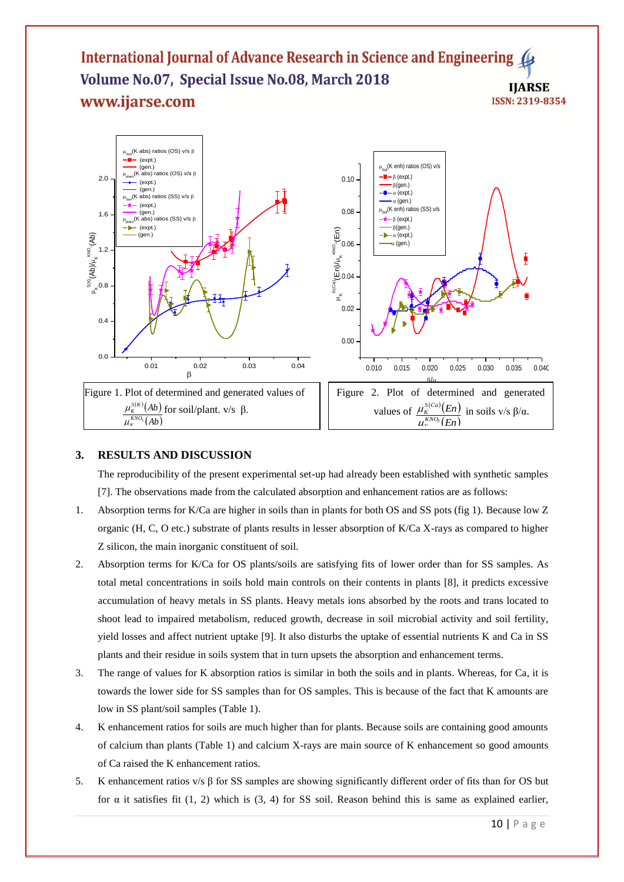### International Journal of Advance Research in Science and Engineering Volume No.07, Special Issue No.08, March 2018 **IIARSE** www.ijarse.com ISSN: 2319-8354



### **3. RESULTS AND DISCUSSION**

The reproducibility of the present experimental set-up had already been established with synthetic samples [7]. The observations made from the calculated absorption and enhancement ratios are as follows:

- 1. Absorption terms for K/Ca are higher in soils than in plants for both OS and SS pots (fig 1). Because low Z organic (H, C, O etc.) substrate of plants results in lesser absorption of K/Ca X-rays as compared to higher Z silicon, the main inorganic constituent of soil.
- 2. Absorption terms for K/Ca for OS plants/soils are satisfying fits of lower order than for SS samples. As total metal concentrations in soils hold main controls on their contents in plants [8], it predicts excessive accumulation of heavy metals in SS plants. Heavy metals ions absorbed by the roots and trans located to shoot lead to impaired metabolism, reduced growth, decrease in soil microbial activity and soil fertility, yield losses and affect nutrient uptake [9]. It also disturbs the uptake of essential nutrients K and Ca in SS plants and their residue in soils system that in turn upsets the absorption and enhancement terms.
- 3. The range of values for K absorption ratios is similar in both the soils and in plants. Whereas, for Ca, it is towards the lower side for SS samples than for OS samples. This is because of the fact that K amounts are low in SS plant/soil samples (Table 1).
- 4. K enhancement ratios for soils are much higher than for plants. Because soils are containing good amounts of calcium than plants (Table 1) and calcium X-rays are main source of K enhancement so good amounts of Ca raised the K enhancement ratios.
- 5. K enhancement ratios v/s β for SS samples are showing significantly different order of fits than for OS but for α it satisfies fit (1, 2) which is (3, 4) for SS soil. Reason behind this is same as explained earlier,